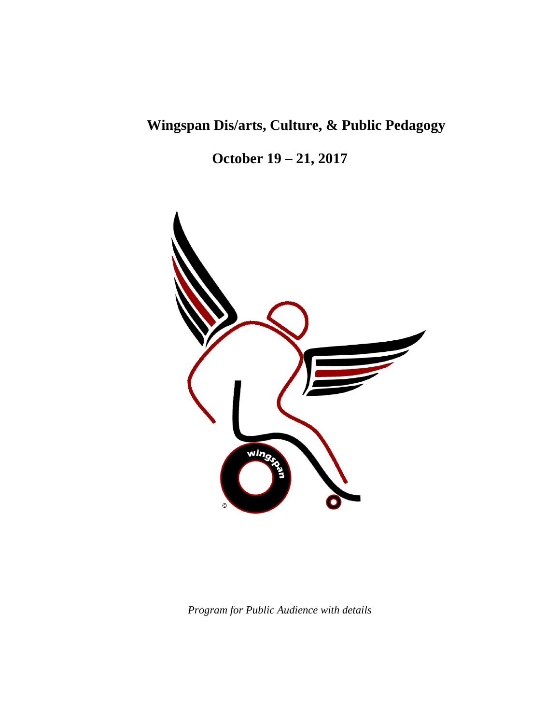# **Wingspan Dis/arts, Culture, & Public Pedagogy**

**October 19 – 21, 2017**



*Program for Public Audience with details*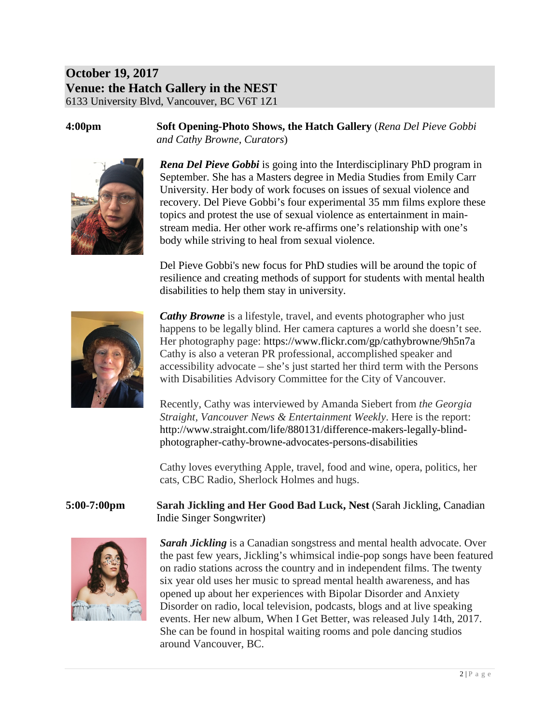## **October 19, 2017 Venue: the Hatch Gallery in the NEST** 6133 University Blvd, Vancouver, BC V6T 1Z1

**4:00pm Soft Opening-Photo Shows, the Hatch Gallery** (*Rena Del Pieve Gobbi and Cathy Browne, Curators*)



*Rena Del Pieve Gobbi* is going into the Interdisciplinary PhD program in September. She has a Masters degree in Media Studies from Emily Carr University. Her body of work focuses on issues of sexual violence and recovery. Del Pieve Gobbi's four experimental 35 mm films explore these topics and protest the use of sexual violence as entertainment in mainstream media. Her other work re-affirms one's relationship with one's body while striving to heal from sexual violence.

Del Pieve Gobbi's new focus for PhD studies will be around the topic of resilience and creating methods of support for students with mental health disabilities to help them stay in university.



*Cathy Browne* is a lifestyle, travel, and events photographer who just happens to be legally blind. Her camera captures a world she doesn't see. Her photography page: https://www.flickr.com/gp/cathybrowne/9h5n7a Cathy is also a veteran PR professional, accomplished speaker and accessibility advocate – she's just started her third term with the Persons with Disabilities Advisory Committee for the City of Vancouver.

Recently, Cathy was interviewed by Amanda Siebert from *the Georgia Straight, Vancouver News & Entertainment Weekly*. Here is the report: http://www.straight.com/life/880131/difference-makers-legally-blindphotographer-cathy-browne-advocates-persons-disabilities

Cathy loves everything Apple, travel, food and wine, opera, politics, her cats, CBC Radio, Sherlock Holmes and hugs.

**5:00-7:00pm Sarah Jickling and Her Good Bad Luck, Nest** (Sarah Jickling, Canadian Indie Singer Songwriter)



*Sarah Jickling* is a Canadian songstress and mental health advocate. Over the past few years, Jickling's whimsical indie-pop songs have been featured on radio stations across the country and in independent films. The twenty six year old uses her music to spread mental health awareness, and has opened up about her experiences with Bipolar Disorder and Anxiety Disorder on radio, local television, podcasts, blogs and at live speaking events. Her new album, When I Get Better, was released July 14th, 2017. She can be found in hospital waiting rooms and pole dancing studios around Vancouver, BC.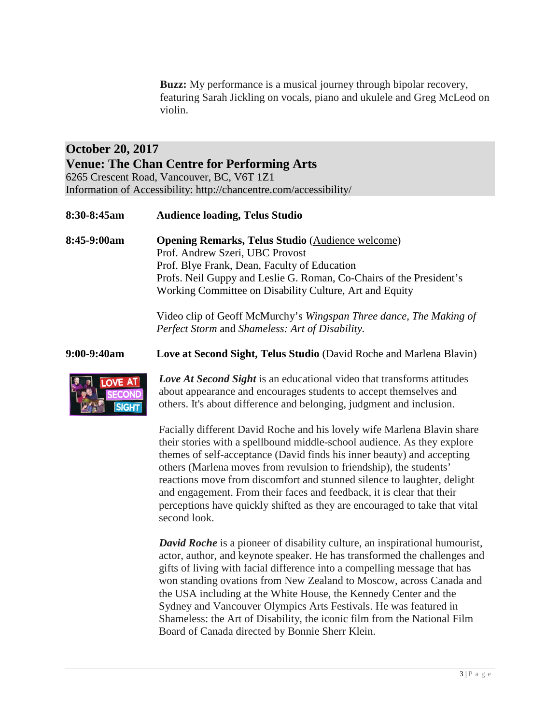**Buzz:** My performance is a musical journey through bipolar recovery, featuring Sarah Jickling on vocals, piano and ukulele and Greg McLeod on violin.

#### **October 20, 2017 Venue: The Chan Centre for Performing Arts** 6265 Crescent Road, Vancouver, BC, V6T 1Z1 Information of Accessibility: http://chancentre.com/accessibility/

**8:30-8:45am Audience loading, Telus Studio**

**8:45-9:00am Opening Remarks, Telus Studio** (Audience welcome) Prof. Andrew Szeri, UBC Provost Prof. Blye Frank, Dean, Faculty of Education Profs. Neil Guppy and Leslie G. Roman, Co-Chairs of the President's Working Committee on Disability Culture, Art and Equity

> Video clip of Geoff McMurchy's *Wingspan Three dance, The Making of Perfect Storm* and *Shameless: Art of Disability.*

**9:00-9:40am Love at Second Sight, Telus Studio** (David Roche and Marlena Blavin)



*Love At Second Sight* is an educational video that transforms attitudes about appearance and encourages students to accept themselves and others. It's about difference and belonging, judgment and inclusion.

Facially different [David Roche](http://www.loveatsecondsight.org/our-team) and his lovely wife [Marlena Blavin](http://www.loveatsecondsight.org/our-team) share their stories with a spellbound middle-school audience. As they explore themes of self-acceptance (David finds his inner beauty) and accepting others (Marlena moves from revulsion to friendship), the students' reactions move from discomfort and stunned silence to laughter, delight and engagement. From their faces and feedback, it is clear that their perceptions have quickly shifted as they are encouraged to take that vital second look.

*David Roche* is a pioneer of disability culture, an inspirational humourist, actor, author, and keynote speaker. He has transformed the challenges and gifts of living with facial difference into a compelling message that has won standing ovations from New Zealand to Moscow, across Canada and the USA including at the White House, the Kennedy Center and the Sydney and Vancouver Olympics Arts Festivals. He was featured in Shameless: the Art of Disability, the iconic film from the National Film Board of Canada directed by Bonnie Sherr Klein.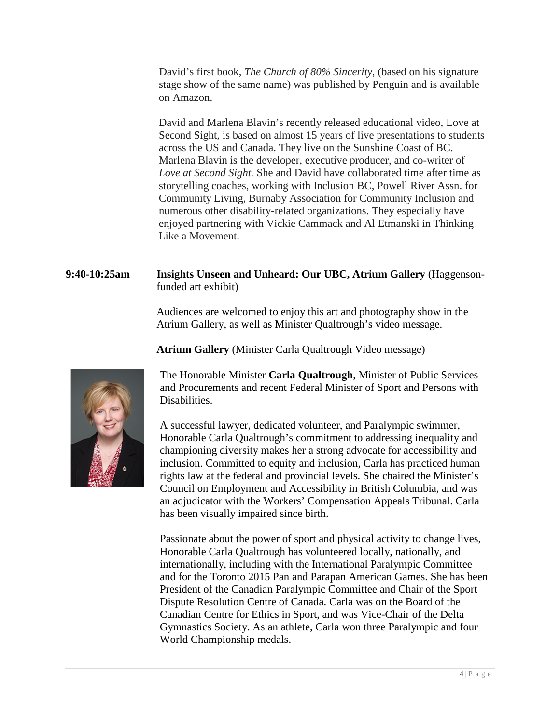David's first book, *The Church of 80% Sincerity*, (based on his signature stage show of the same name) was published by Penguin and is available on Amazon.

David and Marlena Blavin's recently released educational video, Love at Second Sight, is based on almost 15 years of live presentations to students across the US and Canada. They live on the Sunshine Coast of BC. Marlena Blavin is the developer, executive producer, and co-writer of *Love at Second Sight.* She and David have collaborated time after time as storytelling coaches, working with Inclusion BC, Powell River Assn. for Community Living, Burnaby Association for Community Inclusion and numerous other disability-related organizations. They especially have enjoyed partnering with Vickie Cammack and Al Etmanski in Thinking Like a Movement.

#### **9:40-10:25am Insights Unseen and Unheard: Our UBC, Atrium Gallery** (Haggensonfunded art exhibit)

Audiences are welcomed to enjoy this art and photography show in the Atrium Gallery, as well as Minister Qualtrough's video message.

**Atrium Gallery** (Minister Carla Qualtrough Video message)



The Honorable Minister **Carla Qualtrough**, Minister of Public Services and Procurements and recent Federal Minister of Sport and Persons with Disabilities.

A successful lawyer, dedicated volunteer, and Paralympic swimmer, Honorable Carla Qualtrough's commitment to addressing inequality and championing diversity makes her a strong advocate for accessibility and inclusion. Committed to equity and inclusion, Carla has practiced human rights law at the federal and provincial levels. She chaired the Minister's Council on Employment and Accessibility in British Columbia, and was an adjudicator with the Workers' Compensation Appeals Tribunal. Carla has been visually impaired since birth.

Passionate about the power of sport and physical activity to change lives, Honorable Carla Qualtrough has volunteered locally, nationally, and internationally, including with the International Paralympic Committee and for the Toronto 2015 Pan and Parapan American Games. She has been President of the Canadian Paralympic Committee and Chair of the Sport Dispute Resolution Centre of Canada. Carla was on the Board of the Canadian Centre for Ethics in Sport, and was Vice-Chair of the Delta Gymnastics Society. As an athlete, Carla won three Paralympic and four World Championship medals.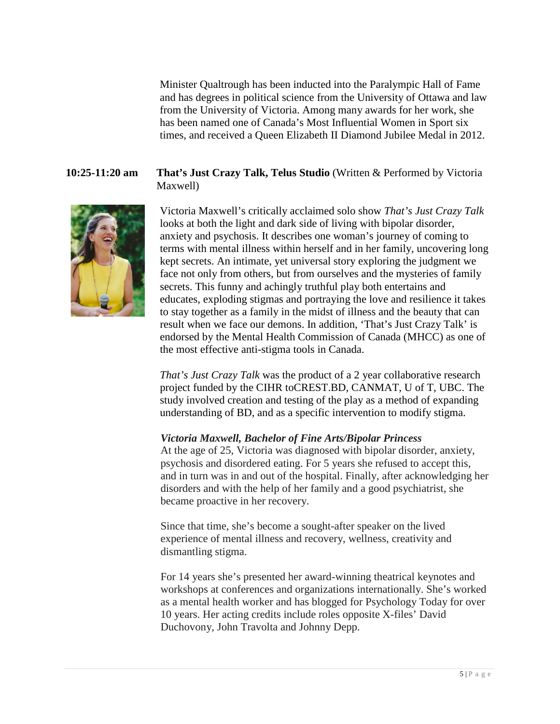Minister Qualtrough has been inducted into the Paralympic Hall of Fame and has degrees in political science from the University of Ottawa and law from the University of Victoria. Among many awards for her work, she has been named one of Canada's Most Influential Women in Sport six times, and received a Queen Elizabeth II Diamond Jubilee Medal in 2012.

**10:25-11:20 am That's Just Crazy Talk, Telus Studio** (Written & Performed by Victoria Maxwell)



Victoria Maxwell's critically acclaimed solo show *That's Just Crazy Talk*  looks at both the light and dark side of living with bipolar disorder, anxiety and psychosis. It describes one woman's journey of coming to terms with mental illness within herself and in her family, uncovering long kept secrets. An intimate, yet universal story exploring the judgment we face not only from others, but from ourselves and the mysteries of family secrets. This funny and achingly truthful play both entertains and educates, exploding stigmas and portraying the love and resilience it takes to stay together as a family in the midst of illness and the beauty that can result when we face our demons. In addition, 'That's Just Crazy Talk' is endorsed by the Mental Health Commission of Canada (MHCC) as one of the most effective anti-stigma tools in Canada.

*That's Just Crazy Talk* was the product of a 2 year collaborative research project funded by the CIHR t[oCREST.BD,](http://crest.bd/) CANMAT, U of T, UBC. The study involved creation and testing of the play as a method of expanding understanding of BD, and as a specific intervention to modify stigma.

#### *Victoria Maxwell, Bachelor of Fine Arts/Bipolar Princess*

At the age of 25, Victoria was diagnosed with bipolar disorder, anxiety, psychosis and disordered eating. For 5 years she refused to accept this, and in turn was in and out of the hospital. Finally, after acknowledging her disorders and with the help of her family and a good psychiatrist, she became proactive in her recovery.

Since that time, she's become a sought-after speaker on the lived experience of mental illness and recovery, wellness, creativity and dismantling stigma.

For 14 years she's presented her award-winning theatrical keynotes and workshops at conferences and organizations internationally. She's worked as a mental health worker and has blogged for Psychology Today for over 10 years. Her acting credits include roles opposite X-files' David Duchovony, John Travolta and Johnny Depp.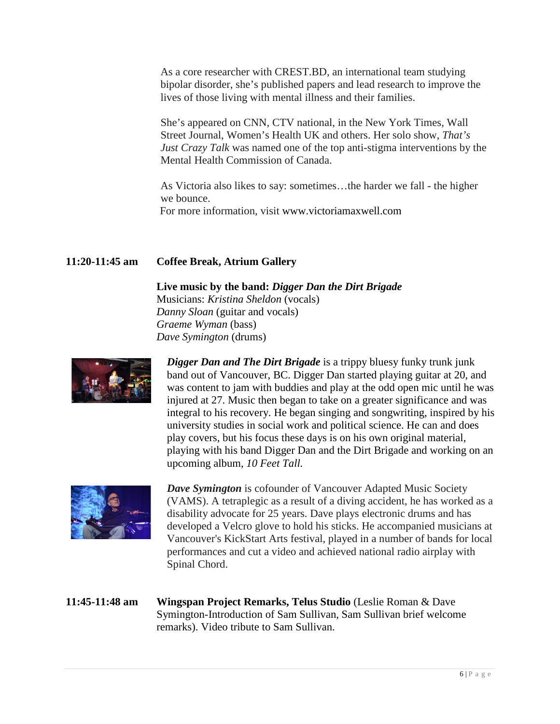As a core researcher with CREST.BD, an international team studying bipolar disorder, she's published papers and lead research to improve the lives of those living with mental illness and their families.

She's appeared on CNN, CTV national, in the New York Times, Wall Street Journal, Women's Health UK and others. Her solo show, *That's Just Crazy Talk* was named one of the top anti-stigma interventions by the Mental Health Commission of Canada.

As Victoria also likes to say: sometimes…the harder we fall - the higher we bounce. For more information, visit www.victoriamaxwell.com

#### **11:20-11:45 am Coffee Break, Atrium Gallery**

**Live music by the band:** *Digger Dan the Dirt Brigade* Musicians: *Kristina Sheldon* (vocals) *Danny Sloan* (guitar and vocals) *Graeme Wyman* (bass) *Dave Symington* (drums)



*Digger Dan and The Dirt Brigade* is a trippy bluesy funky trunk junk band out of Vancouver, BC. Digger Dan started playing guitar at 20, and was content to jam with buddies and play at the odd open mic until he was injured at 27. Music then began to take on a greater significance and was integral to his recovery. He began singing and songwriting, inspired by his university studies in social work and political science. He can and does play covers, but his focus these days is on his own original material, playing with his band Digger Dan and the Dirt Brigade and working on an upcoming album, *10 Feet Tall.*



*Dave Symington* is cofounder of Vancouver Adapted Music Society (VAMS). A tetraplegic as a result of a diving accident, he has worked as a disability advocate for 25 years. Dave plays electronic drums and has developed a Velcro glove to hold his sticks. He accompanied musicians at Vancouver's KickStart Arts festival, played in a number of bands for local performances and cut a video and achieved national radio airplay with Spinal Chord.

**11:45-11:48 am Wingspan Project Remarks, Telus Studio** (Leslie Roman & Dave Symington-Introduction of Sam Sullivan, Sam Sullivan brief welcome remarks). Video tribute to Sam Sullivan.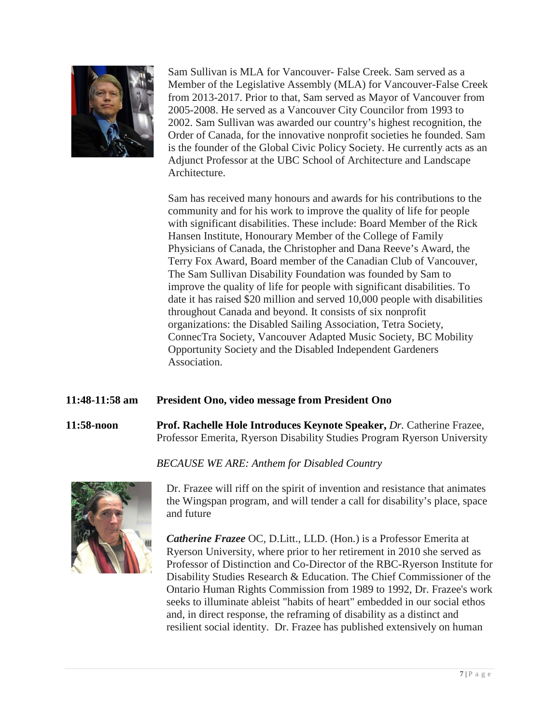

Sam Sullivan is MLA for Vancouver- False Creek. Sam served as a Member of the Legislative Assembly (MLA) for Vancouver-False Creek from 2013-2017. Prior to that, Sam served as Mayor of Vancouver from 2005-2008. He served as a Vancouver City Councilor from 1993 to 2002. Sam Sullivan was awarded our country's highest recognition, the Order of Canada, for the innovative nonprofit societies he founded. Sam is the founder of the Global Civic Policy Society. He currently acts as an Adjunct Professor at the UBC School of Architecture and Landscape Architecture.

Sam has received many honours and awards for his contributions to the community and for his work to improve the quality of life for people with significant disabilities. These include: Board Member of the Rick Hansen Institute, Honourary Member of the College of Family Physicians of Canada, the Christopher and Dana Reeve's Award, the Terry Fox Award, Board member of the Canadian Club of Vancouver, The Sam Sullivan Disability Foundation was founded by Sam to improve the quality of life for people with significant disabilities. To date it has raised \$20 million and served 10,000 people with disabilities throughout Canada and beyond. It consists of six nonprofit organizations: the Disabled Sailing Association, Tetra Society, ConnecTra Society, Vancouver Adapted Music Society, BC Mobility Opportunity Society and the Disabled Independent Gardeners Association.

#### **11:48-11:58 am President Ono, video message from President Ono**

**11:58-noon Prof. Rachelle Hole Introduces Keynote Speaker,** *Dr.* Catherine Frazee, Professor Emerita, Ryerson Disability Studies Program Ryerson University

#### *BECAUSE WE ARE: Anthem for Disabled Country*



Dr. Frazee will riff on the spirit of invention and resistance that animates the Wingspan program, and will tender a call for disability's place, space and future

*Catherine Frazee* OC, D.Litt., LLD. (Hon.) is a Professor Emerita at Ryerson University, where prior to her retirement in 2010 she served as Professor of Distinction and Co-Director of the RBC-Ryerson Institute for Disability Studies Research & Education. The Chief Commissioner of the Ontario Human Rights Commission from 1989 to 1992, Dr. Frazee's work seeks to illuminate ableist "habits of heart" embedded in our social ethos and, in direct response, the reframing of disability as a distinct and resilient social identity. Dr. Frazee has published extensively on human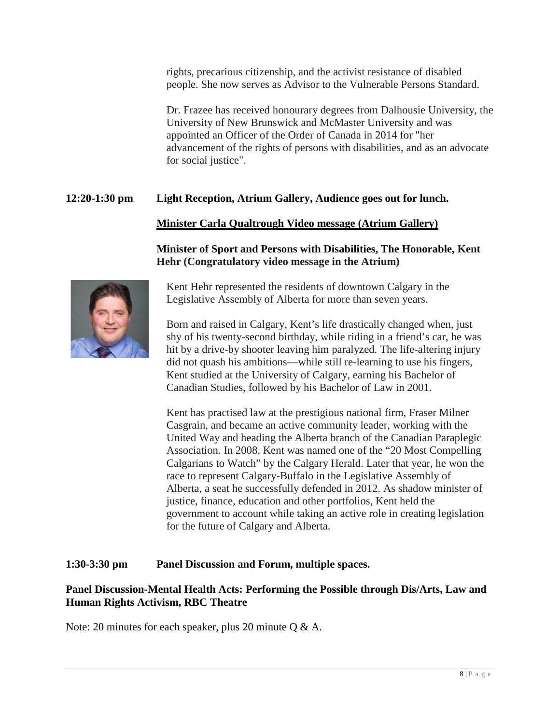rights, precarious citizenship, and the activist resistance of disabled people. She now serves as Advisor to the [Vulnerable Persons Standard.](http://www.vps-npv.ca/)

Dr. Frazee has received honourary degrees from Dalhousie University, the University of New Brunswick and McMaster University and was appointed an Officer of the Order of Canada in 2014 for "her advancement of the rights of persons with disabilities, and as an advocate for social justice".

#### **12:20-1:30 pm Light Reception, Atrium Gallery, Audience goes out for lunch.**

#### **Minister Carla Qualtrough Video message (Atrium Gallery)**

#### **Minister of Sport and Persons with Disabilities, The Honorable, Kent Hehr (Congratulatory video message in the Atrium)**



Kent Hehr represented the residents of downtown Calgary in the Legislative Assembly of Alberta for more than seven years.

Born and raised in Calgary, Kent's life drastically changed when, just shy of his twenty-second birthday, while riding in a friend's car, he was hit by a drive-by shooter leaving him paralyzed. The life-altering injury did not quash his ambitions—while still re-learning to use his fingers, Kent studied at the University of Calgary, earning his Bachelor of Canadian Studies, followed by his Bachelor of Law in 2001.

Kent has practised law at the prestigious national firm, Fraser Milner Casgrain, and became an active community leader, working with the United Way and heading the Alberta branch of the Canadian Paraplegic Association. In 2008, Kent was named one of the "20 Most Compelling Calgarians to Watch" by the Calgary Herald. Later that year, he won the race to represent Calgary-Buffalo in the Legislative Assembly of Alberta, a seat he successfully defended in 2012. As shadow minister of justice, finance, education and other portfolios, Kent held the government to account while taking an active role in creating legislation for the future of Calgary and Alberta.

#### **1:30-3:30 pm Panel Discussion and Forum, multiple spaces.**

#### **Panel Discussion-Mental Health Acts: Performing the Possible through Dis/Arts, Law and Human Rights Activism, RBC Theatre**

Note: 20 minutes for each speaker, plus 20 minute Q & A.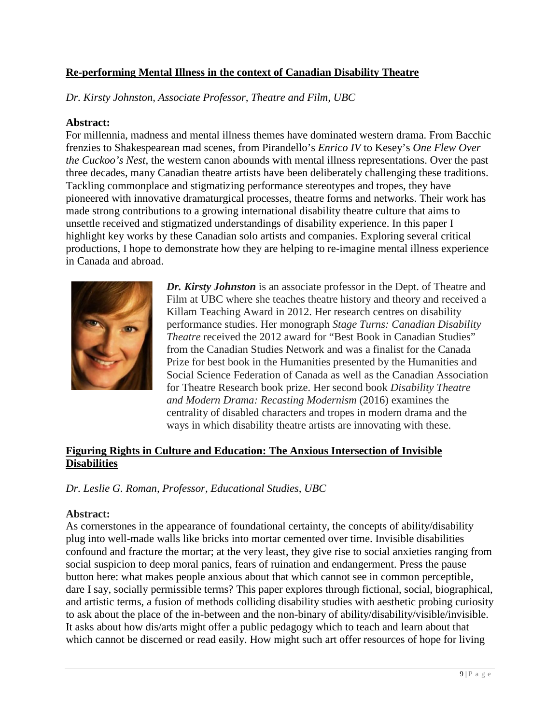#### **Re-performing Mental Illness in the context of Canadian Disability Theatre**

*Dr. Kirsty Johnston, Associate Professor, Theatre and Film, UBC*

#### **Abstract:**

For millennia, madness and mental illness themes have dominated western drama. From Bacchic frenzies to Shakespearean mad scenes, from Pirandello's *Enrico IV* to Kesey's *One Flew Over the Cuckoo's Nest*, the western canon abounds with mental illness representations. Over the past three decades, many Canadian theatre artists have been deliberately challenging these traditions. Tackling commonplace and stigmatizing performance stereotypes and tropes, they have pioneered with innovative dramaturgical processes, theatre forms and networks. Their work has made strong contributions to a growing international disability theatre culture that aims to unsettle received and stigmatized understandings of disability experience. In this paper I highlight key works by these Canadian solo artists and companies. Exploring several critical productions, I hope to demonstrate how they are helping to re-imagine mental illness experience in Canada and abroad.



*Dr. Kirsty Johnston* is an associate professor in the Dept. of Theatre and Film at UBC where she teaches theatre history and theory and received a Killam Teaching Award in 2012. Her research centres on disability performance studies. Her monograph *Stage Turns: Canadian Disability Theatre* received the 2012 award for "Best Book in Canadian Studies" from the Canadian Studies Network and was a finalist for the Canada Prize for best book in the Humanities presented by the Humanities and Social Science Federation of Canada as well as the Canadian Association for Theatre Research book prize. Her second book *Disability Theatre and Modern Drama: Recasting Modernism* (2016) examines the centrality of disabled characters and tropes in modern drama and the ways in which disability theatre artists are innovating with these.

#### **Figuring Rights in Culture and Education: The Anxious Intersection of Invisible Disabilities**

*Dr. Leslie G. Roman, Professor, Educational Studies, UBC*

#### **Abstract:**

As cornerstones in the appearance of foundational certainty, the concepts of ability/disability plug into well-made walls like bricks into mortar cemented over time. Invisible disabilities confound and fracture the mortar; at the very least, they give rise to social anxieties ranging from social suspicion to deep moral panics, fears of ruination and endangerment. Press the pause button here: what makes people anxious about that which cannot see in common perceptible, dare I say, socially permissible terms? This paper explores through fictional, social, biographical, and artistic terms, a fusion of methods colliding disability studies with aesthetic probing curiosity to ask about the place of the in-between and the non-binary of ability/disability/visible/invisible. It asks about how dis/arts might offer a public pedagogy which to teach and learn about that which cannot be discerned or read easily. How might such art offer resources of hope for living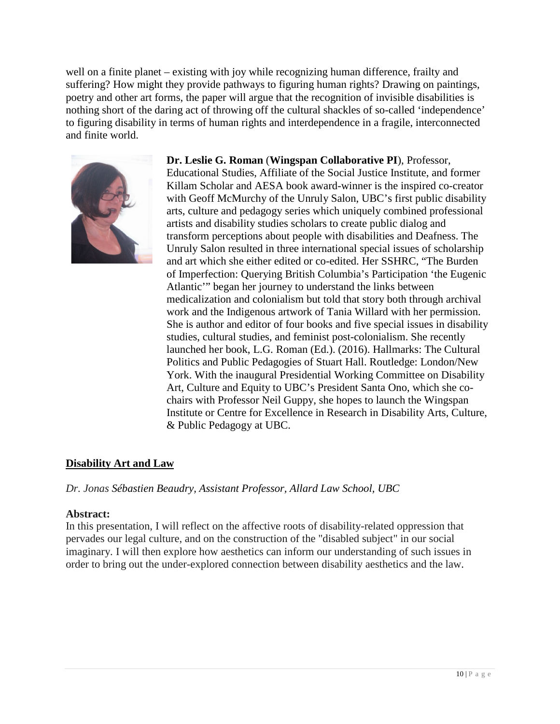well on a finite planet – existing with joy while recognizing human difference, frailty and suffering? How might they provide pathways to figuring human rights? Drawing on paintings, poetry and other art forms, the paper will argue that the recognition of invisible disabilities is nothing short of the daring act of throwing off the cultural shackles of so-called 'independence' to figuring disability in terms of human rights and interdependence in a fragile, interconnected and finite world.



**Dr. Leslie G. Roman** (**Wingspan Collaborative PI**), Professor, Educational Studies, Affiliate of the Social Justice Institute, and former Killam Scholar and AESA book award-winner is the inspired co-creator with Geoff McMurchy of the Unruly Salon, UBC's first public disability arts, culture and pedagogy series which uniquely combined professional artists and disability studies scholars to create public dialog and transform perceptions about people with disabilities and Deafness. The Unruly Salon resulted in three international special issues of scholarship and art which she either edited or co-edited. Her SSHRC, "The Burden of Imperfection: Querying British Columbia's Participation 'the Eugenic Atlantic'" began her journey to understand the links between medicalization and colonialism but told that story both through archival work and the Indigenous artwork of Tania Willard with her permission. She is author and editor of four books and five special issues in disability studies, cultural studies, and feminist post-colonialism. She recently launched her book, L.G. Roman (Ed.). (2016). Hallmarks: The Cultural Politics and Public Pedagogies of Stuart Hall. Routledge: London/New York. With the inaugural Presidential Working Committee on Disability Art, Culture and Equity to UBC's President Santa Ono, which she cochairs with Professor Neil Guppy, she hopes to launch the Wingspan Institute or Centre for Excellence in Research in Disability Arts, Culture, & Public Pedagogy at UBC.

#### **Disability Art and Law**

*Dr. Jonas Sébastien Beaudry, Assistant Professor, Allard Law School, UBC*

#### **Abstract:**

In this presentation, I will reflect on the affective roots of disability-related oppression that pervades our legal culture, and on the construction of the "disabled subject" in our social imaginary. I will then explore how aesthetics can inform our understanding of such issues in order to bring out the under-explored connection between disability aesthetics and the law.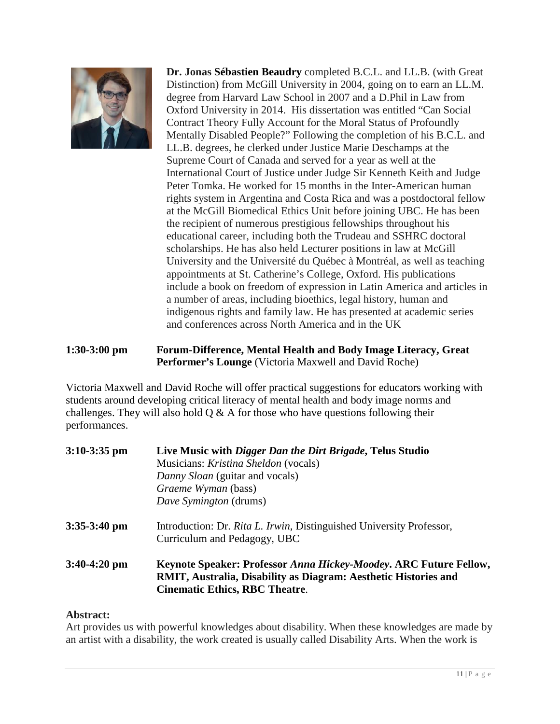

**Dr. Jonas Sébastien Beaudry** completed B.C.L. and LL.B. (with Great Distinction) from McGill University in 2004, going on to earn an LL.M. degree from Harvard Law School in 2007 and a D.Phil in Law from Oxford University in 2014. His dissertation was entitled "Can Social Contract Theory Fully Account for the Moral Status of Profoundly Mentally Disabled People?" Following the completion of his B.C.L. and LL.B. degrees, he clerked under Justice Marie Deschamps at the Supreme Court of Canada and served for a year as well at the International Court of Justice under Judge Sir Kenneth Keith and Judge Peter Tomka. He worked for 15 months in the Inter-American human rights system in Argentina and Costa Rica and was a postdoctoral fellow at the McGill Biomedical Ethics Unit before joining UBC. He has been the recipient of numerous prestigious fellowships throughout his educational career, including both the Trudeau and SSHRC doctoral scholarships. He has also held Lecturer positions in law at McGill University and the Université du Québec à Montréal, as well as teaching appointments at St. Catherine's College, Oxford. His publications include a book on freedom of expression in Latin America and articles in a number of areas, including bioethics, legal history, human and indigenous rights and family law. He has presented at academic series and conferences across North America and in the UK

#### **1:30-3:00 pm Forum-Difference, Mental Health and Body Image Literacy, Great Performer's Lounge** (Victoria Maxwell and David Roche)

Victoria Maxwell and David Roche will offer practical suggestions for educators working with students around developing critical literacy of mental health and body image norms and challenges. They will also hold  $Q \& A$  for those who have questions following their performances.

| $3:10-3:35$ pm | Live Music with <i>Digger Dan the Dirt Brigade</i> , Telus Studio<br>Musicians: <i>Kristina Sheldon</i> (vocals)<br>Danny Sloan (guitar and vocals)<br><i>Graeme Wyman</i> (bass)<br>Dave Symington (drums) |
|----------------|-------------------------------------------------------------------------------------------------------------------------------------------------------------------------------------------------------------|
| $3:35-3:40$ pm | Introduction: Dr. Rita L. Irwin, Distinguished University Professor,<br>Curriculum and Pedagogy, UBC                                                                                                        |
| $3:40-4:20$ pm | <b>Keynote Speaker: Professor Anna Hickey-Moodey. ARC Future Fellow,</b><br>RMIT, Australia, Disability as Diagram: Aesthetic Histories and<br><b>Cinematic Ethics, RBC Theatre.</b>                        |

#### **Abstract:**

Art provides us with powerful knowledges about disability. When these knowledges are made by an artist with a disability, the work created is usually called Disability Arts. When the work is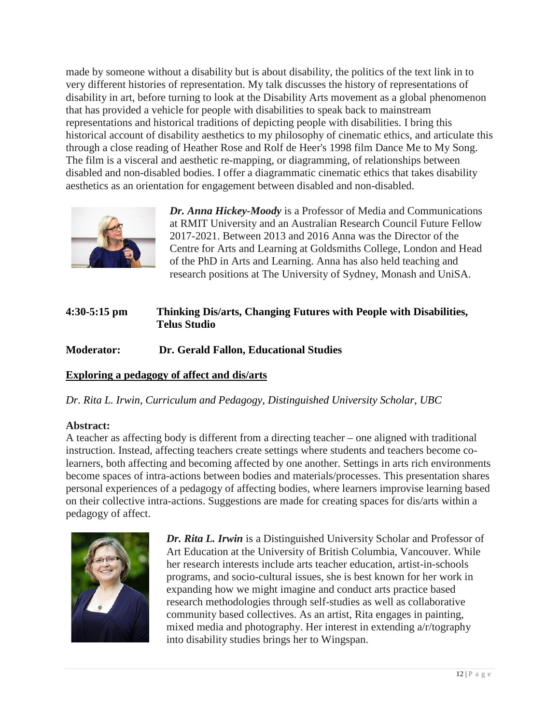made by someone without a disability but is about disability, the politics of the text link in to very different histories of representation. My talk discusses the history of representations of disability in art, before turning to look at the Disability Arts movement as a global phenomenon that has provided a vehicle for people with disabilities to speak back to mainstream representations and historical traditions of depicting people with disabilities. I bring this historical account of disability aesthetics to my philosophy of cinematic ethics, and articulate this through a close reading of Heather Rose and Rolf de Heer's 1998 film Dance Me to My Song. The film is a visceral and aesthetic re-mapping, or diagramming, of relationships between disabled and non-disabled bodies. I offer a diagrammatic cinematic ethics that takes disability aesthetics as an orientation for engagement between disabled and non-disabled.



*Dr. Anna Hickey-Moody* is a Professor of Media and Communications at RMIT University and an [Australian Research Council Future Fellow](http://www.interfaithchildhoods.com/)  [2017-2021.](http://www.interfaithchildhoods.com/) Between 2013 and 2016 Anna was the Director of the Centre for Arts and Learning at Goldsmiths College, London and Head of the PhD in Arts and Learning. Anna has also held teaching and research positions at The University of Sydney, Monash and UniSA.

### **4:30-5:15 pm Thinking Dis/arts, Changing Futures with People with Disabilities, Telus Studio**

#### **Moderator: Dr. Gerald Fallon, Educational Studies**

#### **Exploring a pedagogy of affect and dis/arts**

*Dr. Rita L. Irwin, Curriculum and Pedagogy, Distinguished University Scholar, UBC*

#### **Abstract:**

A teacher as affecting body is different from a directing teacher – one aligned with traditional instruction. Instead, affecting teachers create settings where students and teachers become colearners, both affecting and becoming affected by one another. Settings in arts rich environments become spaces of intra-actions between bodies and materials/processes. This presentation shares personal experiences of a pedagogy of affecting bodies, where learners improvise learning based on their collective intra-actions. Suggestions are made for creating spaces for dis/arts within a pedagogy of affect.



*Dr. Rita L. Irwin* is a Distinguished University Scholar and Professor of Art Education at the University of British Columbia, Vancouver. While her research interests include arts teacher education, artist-in-schools programs, and socio-cultural issues, she is best known for her work in expanding how we might imagine and conduct arts practice based research methodologies through self-studies as well as collaborative community based collectives. As an artist, Rita engages in painting, mixed media and photography. Her interest in extending a/r/tography into disability studies brings her to Wingspan.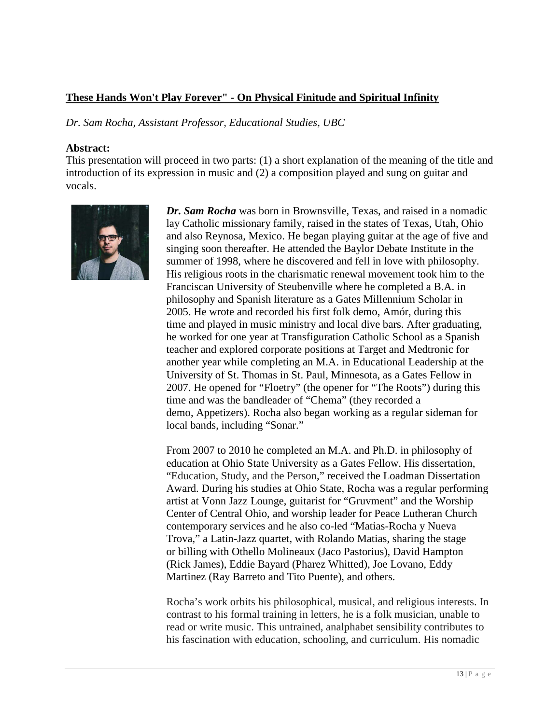#### **These Hands Won't Play Forever" - On Physical Finitude and Spiritual Infinity**

*Dr. Sam Rocha, Assistant Professor, Educational Studies, UBC*

#### **Abstract:**

This presentation will proceed in two parts: (1) a short explanation of the meaning of the title and introduction of its expression in music and (2) a composition played and sung on guitar and vocals.



*Dr. Sam Rocha* was born in Brownsville, Texas, and raised in a nomadic lay Catholic missionary family, raised in the states of Texas, Utah, Ohio and also Reynosa, Mexico. He began playing guitar at the age of five and singing soon thereafter. He attended the Baylor Debate Institute in the summer of 1998, where he discovered and fell in love with philosophy. His religious roots in the charismatic renewal movement took him to the Franciscan University of Steubenville where he completed a B.A. in philosophy and Spanish literature as a Gates Millennium Scholar in 2005. He wrote and recorded his first folk demo, Amór, during this time and played in music ministry and local dive bars. After graduating, he worked for one year at Transfiguration Catholic School as a Spanish teacher and explored corporate positions at Target and Medtronic for another year while completing an M.A. in Educational Leadership at the University of St. Thomas in St. Paul, Minnesota, as a Gates Fellow in 2007. He opened for "Floetry" (the opener for "The Roots") during this time and was the bandleader of "Chema" (they recorded a demo, Appetizers). Rocha also began working as a regular sideman for local bands, including "Sonar."

From 2007 to 2010 he completed an M.A. and Ph.D. in philosophy of education at Ohio State University as a Gates Fellow. His dissertation, ["Education, Study, and the Person,](https://etd.ohiolink.edu/ap:10:0::NO:10:P10_ETD_SUBID:72214)" received the Loadman Dissertation Award. During his studies at Ohio State, Rocha was a regular performing artist at Vonn Jazz Lounge, guitarist for "Gruvment" and the Worship Center of Central Ohio, and worship leader for Peace Lutheran Church contemporary services and he also co-led "Matias-Rocha y Nueva Trova," a Latin-Jazz quartet, with Rolando Matias, sharing the stage or billing with Othello Molineaux (Jaco Pastorius), David Hampton (Rick James), Eddie Bayard (Pharez Whitted), Joe Lovano, Eddy Martinez (Ray Barreto and Tito Puente), and others.

Rocha's work orbits his philosophical, musical, and religious interests. In contrast to his formal training in letters, he is a folk musician, unable to read or write music. This untrained, analphabet sensibility contributes to his fascination with education, schooling, and curriculum. His nomadic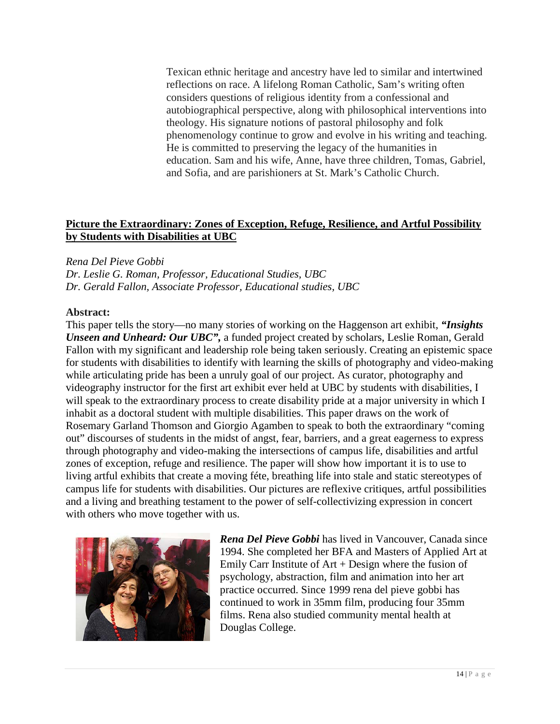Texican ethnic heritage and ancestry have led to similar and intertwined reflections on race. A lifelong Roman Catholic, Sam's writing often considers questions of religious identity from a confessional and autobiographical perspective, along with philosophical interventions into theology. His signature notions of pastoral philosophy and folk phenomenology continue to grow and evolve in his writing and teaching. He is committed to preserving the legacy of the humanities in education. Sam and his wife, Anne, have three children, Tomas, Gabriel, and Sofia, and are parishioners at St. Mark's Catholic Church.

#### **Picture the Extraordinary: Zones of Exception, Refuge, Resilience, and Artful Possibility by Students with Disabilities at UBC**

#### *Rena Del Pieve Gobbi*

*Dr. Leslie G. Roman, Professor, Educational Studies, UBC Dr. Gerald Fallon, Associate Professor, Educational studies, UBC*

#### **Abstract:**

This paper tells the story—no many stories of working on the Haggenson art exhibit, *"Insights Unseen and Unheard: Our UBC",* a funded project created by scholars, Leslie Roman, Gerald Fallon with my significant and leadership role being taken seriously. Creating an epistemic space for students with disabilities to identify with learning the skills of photography and video-making while articulating pride has been a unruly goal of our project. As curator, photography and videography instructor for the first art exhibit ever held at UBC by students with disabilities, I will speak to the extraordinary process to create disability pride at a major university in which I inhabit as a doctoral student with multiple disabilities. This paper draws on the work of Rosemary Garland Thomson and Giorgio Agamben to speak to both the extraordinary "coming out" discourses of students in the midst of angst, fear, barriers, and a great eagerness to express through photography and video-making the intersections of campus life, disabilities and artful zones of exception, refuge and resilience. The paper will show how important it is to use to living artful exhibits that create a moving féte, breathing life into stale and static stereotypes of campus life for students with disabilities. Our pictures are reflexive critiques, artful possibilities and a living and breathing testament to the power of self-collectivizing expression in concert with others who move together with us.



*Rena Del Pieve Gobbi* has lived in Vancouver, Canada since 1994. She completed her BFA and Masters of Applied Art at Emily Carr Institute of  $Art + Design$  where the fusion of psychology, abstraction, film and animation into her art practice occurred. Since 1999 rena del pieve gobbi has continued to work in 35mm film, producing four 35mm films. Rena also studied community mental health at Douglas College.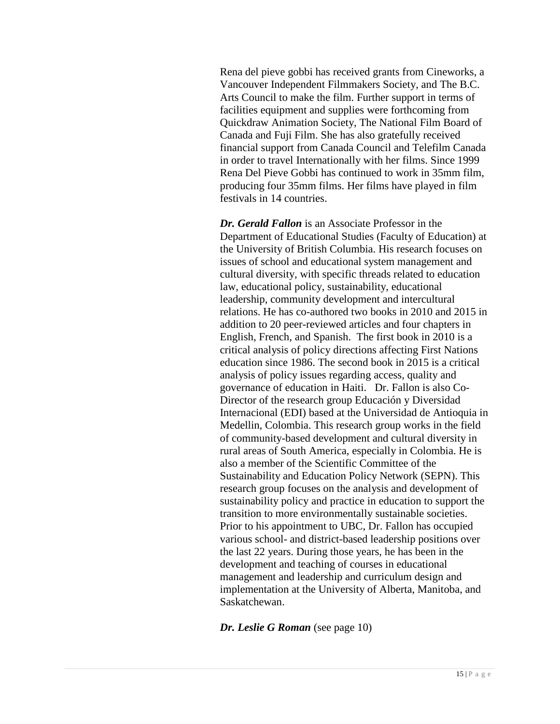Rena del pieve gobbi has received grants from Cineworks, a Vancouver Independent Filmmakers Society, and The B.C. Arts Council to make the film. Further support in terms of facilities equipment and supplies were forthcoming from Quickdraw Animation Society, The National Film Board of Canada and Fuji Film. She has also gratefully received financial support from Canada Council and Telefilm Canada in order to travel Internationally with her films. Since 1999 Rena Del Pieve Gobbi has continued to work in 35mm film, producing four 35mm films. Her films have played in film festivals in 14 countries.

*Dr. Gerald Fallon* is an Associate Professor in the Department of Educational Studies (Faculty of Education) at the University of British Columbia. His research focuses on issues of school and educational system management and cultural diversity, with specific threads related to education law, educational policy, sustainability, educational leadership, community development and intercultural relations. He has co-authored two books in 2010 and 2015 in addition to 20 peer-reviewed articles and four chapters in English, French, and Spanish. The first book in 2010 is a critical analysis of policy directions affecting First Nations education since 1986. The second book in 2015 is a critical analysis of policy issues regarding access, quality and governance of education in Haiti. Dr. Fallon is also Co-Director of the research group Educación y Diversidad Internacional (EDI) based at the Universidad de Antioquia in Medellin, Colombia. This research group works in the field of community-based development and cultural diversity in rural areas of South America, especially in Colombia. He is also a member of the Scientific Committee of the Sustainability and Education Policy Network (SEPN). This research group focuses on the analysis and development of sustainability policy and practice in education to support the transition to more environmentally sustainable societies. Prior to his appointment to UBC, Dr. Fallon has occupied various school- and district-based leadership positions over the last 22 years. During those years, he has been in the development and teaching of courses in educational management and leadership and curriculum design and implementation at the University of Alberta, Manitoba, and Saskatchewan.

*Dr. Leslie G Roman* (see page 10)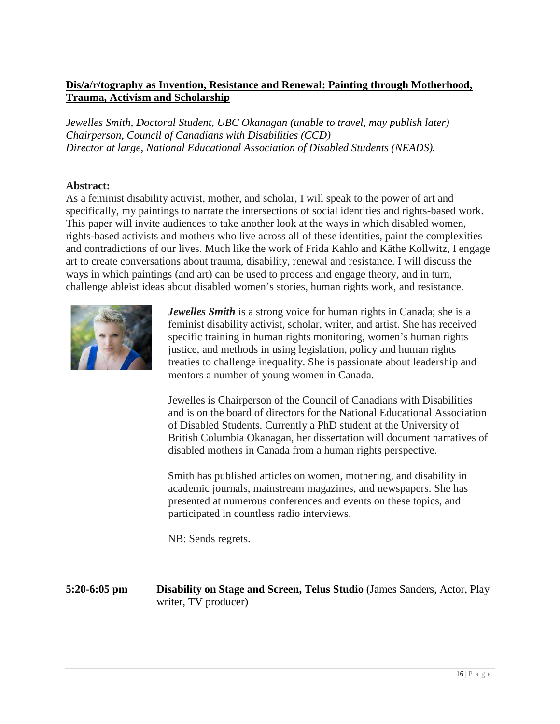#### **Dis/a/r/tography as Invention, Resistance and Renewal: Painting through Motherhood, Trauma, Activism and Scholarship**

*Jewelles Smith, Doctoral Student, UBC Okanagan (unable to travel, may publish later) Chairperson, Council of Canadians with Disabilities (CCD) Director at large, National Educational Association of Disabled Students (NEADS).*

#### **Abstract:**

As a feminist disability activist, mother, and scholar, I will speak to the power of art and specifically, my paintings to narrate the intersections of social identities and rights-based work. This paper will invite audiences to take another look at the ways in which disabled women, rights-based activists and mothers who live across all of these identities, paint the complexities and contradictions of our lives. Much like the work of Frida Kahlo and Käthe Kollwitz, I engage art to create conversations about trauma, disability, renewal and resistance. I will discuss the ways in which paintings (and art) can be used to process and engage theory, and in turn, challenge ableist ideas about disabled women's stories, human rights work, and resistance.



*Jewelles Smith* is a strong voice for human rights in Canada; she is a feminist disability activist, scholar, writer, and artist. She has received specific training in human rights monitoring, women's human rights justice, and methods in using legislation, policy and human rights treaties to challenge inequality. She is passionate about leadership and mentors a number of young women in Canada.

Jewelles is Chairperson of the Council of Canadians with Disabilities and is on the board of directors for the National Educational Association of Disabled Students. Currently a PhD student at the University of British Columbia Okanagan, her dissertation will document narratives of disabled mothers in Canada from a human rights perspective.

Smith has published articles on women, mothering, and disability in academic journals, mainstream magazines, and newspapers. She has presented at numerous conferences and events on these topics, and participated in countless radio interviews.

NB: Sends regrets.

**5:20-6:05 pm Disability on Stage and Screen, Telus Studio** (James Sanders, Actor, Play writer, TV producer)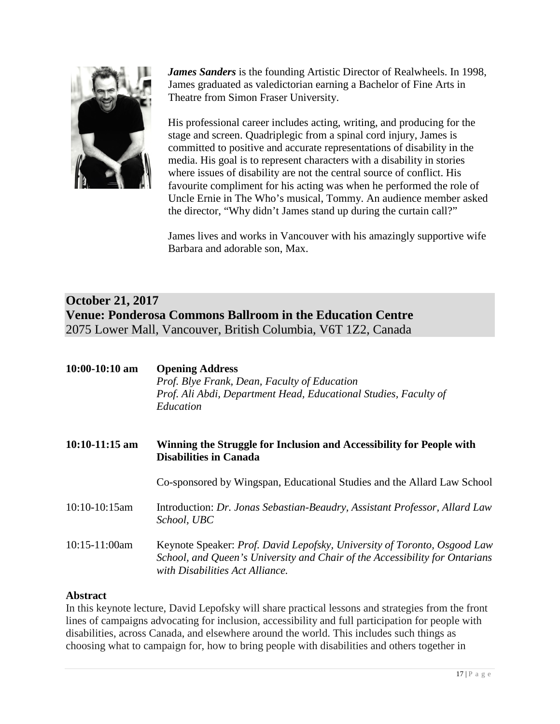

*James Sanders* is the founding Artistic Director of Realwheels. In 1998, James graduated as valedictorian earning a Bachelor of Fine Arts in Theatre from Simon Fraser University.

His professional career includes acting, writing, and producing for the stage and screen. Quadriplegic from a spinal cord injury, James is committed to positive and accurate representations of disability in the media. His goal is to represent characters with a disability in stories where issues of disability are not the central source of conflict. His favourite compliment for his acting was when he performed the role of Uncle Ernie in The Who's musical, Tommy. An audience member asked the director, "Why didn't James stand up during the curtain call?"

James lives and works in Vancouver with his amazingly supportive wife Barbara and adorable son, Max.

# **October 21, 2017 Venue: Ponderosa Commons Ballroom in the Education Centre** 2075 Lower Mall, Vancouver, British Columbia, V6T 1Z2, Canada

| $10:00-10:10$ am | <b>Opening Address</b><br>Prof. Blye Frank, Dean, Faculty of Education<br>Prof. Ali Abdi, Department Head, Educational Studies, Faculty of<br>Education                                    |
|------------------|--------------------------------------------------------------------------------------------------------------------------------------------------------------------------------------------|
| $10:10-11:15$ am | Winning the Struggle for Inclusion and Accessibility for People with<br><b>Disabilities in Canada</b>                                                                                      |
|                  | Co-sponsored by Wingspan, Educational Studies and the Allard Law School                                                                                                                    |
| $10:10-10:15am$  | Introduction: Dr. Jonas Sebastian-Beaudry, Assistant Professor, Allard Law<br>School, UBC                                                                                                  |
| $10:15-11:00am$  | Keynote Speaker: Prof. David Lepofsky, University of Toronto, Osgood Law<br>School, and Queen's University and Chair of the Accessibility for Ontarians<br>with Disabilities Act Alliance. |

#### **Abstract**

In this keynote lecture, David Lepofsky will share practical lessons and strategies from the front lines of campaigns advocating for inclusion, accessibility and full participation for people with disabilities, across Canada, and elsewhere around the world. This includes such things as choosing what to campaign for, how to bring people with disabilities and others together in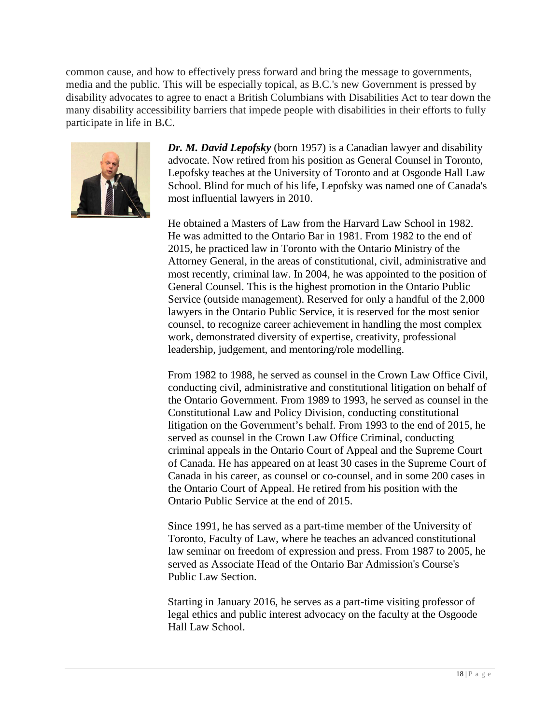common cause, and how to effectively press forward and bring the message to governments, media and the public. This will be especially topical, as B.C.'s new Government is pressed by disability advocates to agree to enact a British Columbians with Disabilities Act to tear down the many disability accessibility barriers that impede people with disabilities in their efforts to fully participate in life in B**.**C.



*Dr. M. David Lepofsky* (born 1957) is a Canadian lawyer and disability advocate. Now retired from his position as General Counsel in Toronto, Lepofsky teaches at the University of Toronto and at Osgoode Hall Law School. Blind for much of his life, Lepofsky was named one of Canada's most influential lawyers in 2010.

He obtained a Masters of Law from the Harvard Law School in 1982. He was admitted to the Ontario Bar in 1981. From 1982 to the end of 2015, he practiced law in Toronto with the Ontario Ministry of the Attorney General, in the areas of constitutional, civil, administrative and most recently, criminal law. In 2004, he was appointed to the position of General Counsel. This is the highest promotion in the Ontario Public Service (outside management). Reserved for only a handful of the 2,000 lawyers in the Ontario Public Service, it is reserved for the most senior counsel, to recognize career achievement in handling the most complex work, demonstrated diversity of expertise, creativity, professional leadership, judgement, and mentoring/role modelling.

From 1982 to 1988, he served as counsel in the Crown Law Office Civil, conducting civil, administrative and constitutional litigation on behalf of the Ontario Government. From 1989 to 1993, he served as counsel in the Constitutional Law and Policy Division, conducting constitutional litigation on the Government's behalf. From 1993 to the end of 2015, he served as counsel in the Crown Law Office Criminal, conducting criminal appeals in the Ontario Court of Appeal and the Supreme Court of Canada. He has appeared on at least 30 cases in the Supreme Court of Canada in his career, as counsel or co-counsel, and in some 200 cases in the Ontario Court of Appeal. He retired from his position with the Ontario Public Service at the end of 2015.

Since 1991, he has served as a part-time member of the University of Toronto, Faculty of Law, where he teaches an advanced constitutional law seminar on freedom of expression and press. From 1987 to 2005, he served as Associate Head of the Ontario Bar Admission's Course's Public Law Section.

Starting in January 2016, he serves as a part-time visiting professor of legal ethics and public interest advocacy on the faculty at the Osgoode Hall Law School.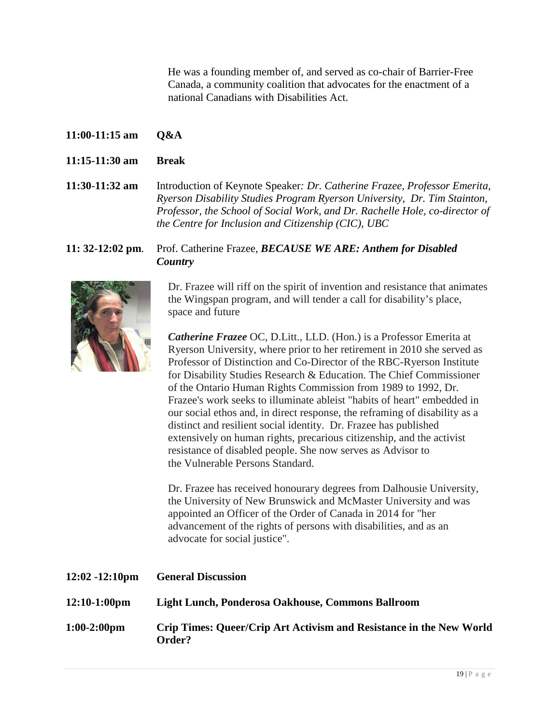He was a founding member of, and served as co-chair of Barrier-Free Canada, a community coalition that advocates for the enactment of a national Canadians with Disabilities Act.

- **11:00-11:15 am Q&A**
- **11:15-11:30 am Break**

**11:30**-**11:32 am** Introduction of Keynote Speaker*: Dr. Catherine Frazee, Professor Emerita, Ryerson Disability Studies Program Ryerson University, Dr. Tim Stainton, Professor, the School of Social Work, and Dr. Rachelle Hole, co-director of the Centre for Inclusion and Citizenship (CIC), UBC*

#### **11: 32-12:02 pm**. Prof. Catherine Frazee, *BECAUSE WE ARE: Anthem for Disabled Country*



Dr. Frazee will riff on the spirit of invention and resistance that animates the Wingspan program, and will tender a call for disability's place, space and future

*Catherine Frazee* OC, D.Litt., LLD. (Hon.) is a Professor Emerita at Ryerson University, where prior to her retirement in 2010 she served as Professor of Distinction and Co-Director of the RBC-Ryerson Institute for Disability Studies Research & Education. The Chief Commissioner of the Ontario Human Rights Commission from 1989 to 1992, Dr. Frazee's work seeks to illuminate ableist "habits of heart" embedded in our social ethos and, in direct response, the reframing of disability as a distinct and resilient social identity. Dr. Frazee has published extensively on human rights, precarious citizenship, and the activist resistance of disabled people. She now serves as Advisor to the [Vulnerable Persons Standard.](http://www.vps-npv.ca/)

Dr. Frazee has received honourary degrees from Dalhousie University, the University of New Brunswick and McMaster University and was appointed an Officer of the Order of Canada in 2014 for "her advancement of the rights of persons with disabilities, and as an advocate for social justice".

| $12:02 - 12:10 \text{pm}$ | <b>General Discussion</b>                                                     |
|---------------------------|-------------------------------------------------------------------------------|
| $12:10-1:00$ pm           | Light Lunch, Ponderosa Oakhouse, Commons Ballroom                             |
| $1:00-2:00 \text{pm}$     | Crip Times: Queer/Crip Art Activism and Resistance in the New World<br>Order? |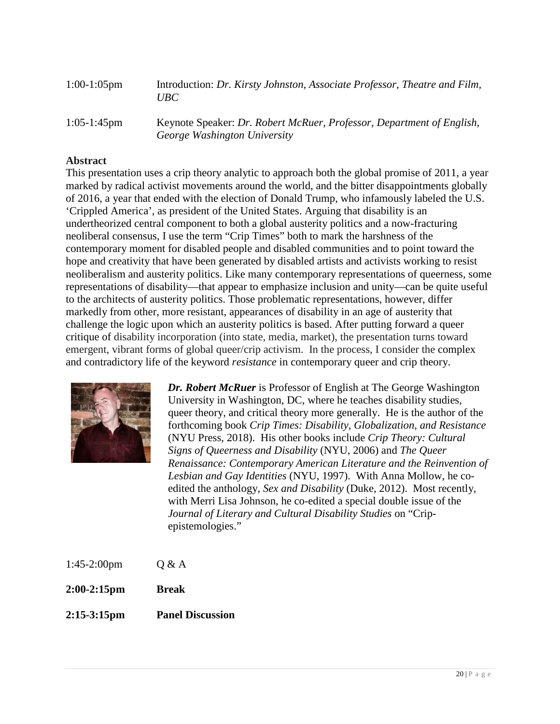| $1:00-1:05$ pm | Introduction: Dr. Kirsty Johnston, Associate Professor, Theatre and Film,<br>UBC-                     |
|----------------|-------------------------------------------------------------------------------------------------------|
| $1:05-1:45$ pm | Keynote Speaker: Dr. Robert McRuer, Professor, Department of English,<br>George Washington University |

#### **Abstract**

This presentation uses a crip theory analytic to approach both the global promise of 2011, a year marked by radical activist movements around the world, and the bitter disappointments globally of 2016, a year that ended with the election of Donald Trump, who infamously labeled the U.S. 'Crippled America', as president of the United States. Arguing that disability is an undertheorized central component to both a global austerity politics and a now-fracturing neoliberal consensus, I use the term "Crip Times" both to mark the harshness of the contemporary moment for disabled people and disabled communities and to point toward the hope and creativity that have been generated by disabled artists and activists working to resist neoliberalism and austerity politics. Like many contemporary representations of queerness, some representations of disability—that appear to emphasize inclusion and unity—can be quite useful to the architects of austerity politics. Those problematic representations, however, differ markedly from other, more resistant, appearances of disability in an age of austerity that challenge the logic upon which an austerity politics is based. After putting forward a queer critique of disability incorporation (into state, media, market), the presentation turns toward emergent, vibrant forms of global queer/crip activism. In the process, I consider the complex and contradictory life of the keyword *resistance* in contemporary queer and crip theory.



*Dr. Robert McRuer* is Professor of English at The George Washington University in Washington, DC, where he teaches disability studies, queer theory, and critical theory more generally. He is the author of the forthcoming book *Crip Times: Disability, Globalization, and Resistance*  (NYU Press, 2018). His other books include *Crip Theory: Cultural Signs of Queerness and Disability* (NYU, 2006) and *The Queer Renaissance: Contemporary American Literature and the Reinvention of Lesbian and Gay Identities* (NYU, 1997). With Anna Mollow, he coedited the anthology, *Sex and Disability* (Duke, 2012). Most recently, with Merri Lisa Johnson, he co-edited a special double issue of the *Journal of Literary and Cultural Disability Studies* on "Cripepistemologies."

- 1:45-2:00pm Q & A
- **2:00-2:15pm Break**
- **2:15-3:15pm Panel Discussion**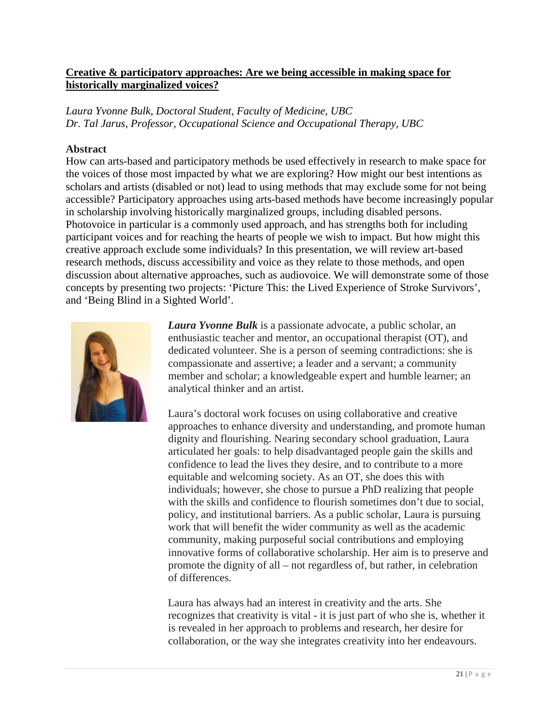#### **Creative & participatory approaches: Are we being accessible in making space for historically marginalized voices?**

*Laura Yvonne Bulk, Doctoral Student, Faculty of Medicine, UBC Dr. Tal Jarus, Professor, Occupational Science and Occupational Therapy, UBC*

#### **Abstract**

How can arts-based and participatory methods be used effectively in research to make space for the voices of those most impacted by what we are exploring? How might our best intentions as scholars and artists (disabled or not) lead to using methods that may exclude some for not being accessible? Participatory approaches using arts-based methods have become increasingly popular in scholarship involving historically marginalized groups, including disabled persons. Photovoice in particular is a commonly used approach, and has strengths both for including participant voices and for reaching the hearts of people we wish to impact. But how might this creative approach exclude some individuals? In this presentation, we will review art-based research methods, discuss accessibility and voice as they relate to those methods, and open discussion about alternative approaches, such as audiovoice. We will demonstrate some of those concepts by presenting two projects: 'Picture This: the Lived Experience of Stroke Survivors', and 'Being Blind in a Sighted World'.



*Laura Yvonne Bulk* is a passionate advocate, a public scholar, an enthusiastic teacher and mentor, an occupational therapist (OT), and dedicated volunteer. She is a person of seeming contradictions: she is compassionate and assertive; a leader and a servant; a community member and scholar; a knowledgeable expert and humble learner; an analytical thinker and an artist.

Laura's doctoral work focuses on using collaborative and creative approaches to enhance diversity and understanding, and promote human dignity and flourishing. Nearing secondary school graduation, Laura articulated her goals: to help disadvantaged people gain the skills and confidence to lead the lives they desire, and to contribute to a more equitable and welcoming society. As an OT, she does this with individuals; however, she chose to pursue a PhD realizing that people with the skills and confidence to flourish sometimes don't due to social, policy, and institutional barriers. As a public scholar, Laura is pursuing work that will benefit the wider community as well as the academic community, making purposeful social contributions and employing innovative forms of collaborative scholarship. Her aim is to preserve and promote the dignity of all – not regardless of, but rather, in celebration of differences.

Laura has always had an interest in creativity and the arts. She recognizes that creativity is vital - it is just part of who she is, whether it is revealed in her approach to problems and research, her desire for collaboration, or the way she integrates creativity into her endeavours.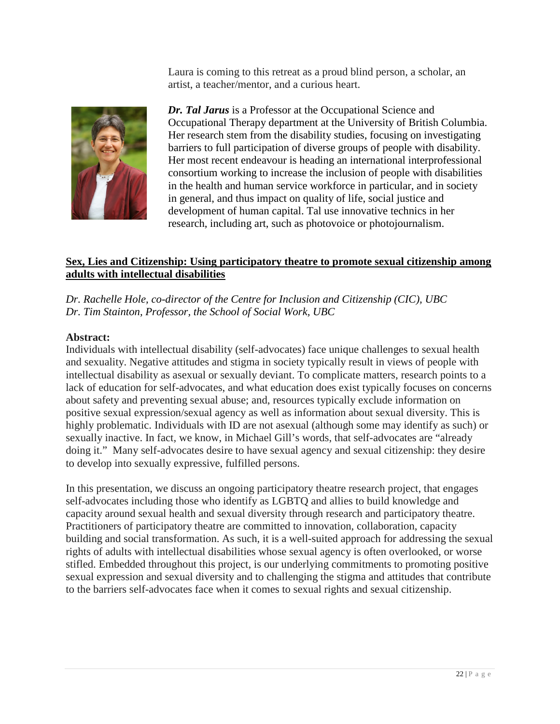Laura is coming to this retreat as a proud blind person, a scholar, an artist, a teacher/mentor, and a curious heart.



*Dr. Tal Jarus* is a Professor at the Occupational Science and Occupational Therapy department at the University of British Columbia. Her research stem from the disability studies, focusing on investigating barriers to full participation of diverse groups of people with disability. Her most recent endeavour is heading an international interprofessional consortium working to increase the inclusion of people with disabilities in the health and human service workforce in particular, and in society in general, and thus impact on quality of life, social justice and development of human capital. Tal use innovative technics in her research, including art, such as photovoice or photojournalism.

#### **Sex, Lies and Citizenship: Using participatory theatre to promote sexual citizenship among adults with intellectual disabilities**

*Dr. Rachelle Hole, co-director of the Centre for Inclusion and Citizenship (CIC), UBC Dr. Tim Stainton, Professor, the School of Social Work, UBC*

#### **Abstract:**

Individuals with intellectual disability (self-advocates) face unique challenges to sexual health and sexuality. Negative attitudes and stigma in society typically result in views of people with intellectual disability as asexual or sexually deviant. To complicate matters, research points to a lack of education for self-advocates, and what education does exist typically focuses on concerns about safety and preventing sexual abuse; and, resources typically exclude information on positive sexual expression/sexual agency as well as information about sexual diversity. This is highly problematic. Individuals with ID are not asexual (although some may identify as such) or sexually inactive. In fact, we know, in Michael Gill's words, that self-advocates are "already doing it." Many self-advocates desire to have sexual agency and sexual citizenship: they desire to develop into sexually expressive, fulfilled persons.

In this presentation, we discuss an ongoing participatory theatre research project, that engages self-advocates including those who identify as LGBTQ and allies to build knowledge and capacity around sexual health and sexual diversity through research and participatory theatre. Practitioners of participatory theatre are committed to innovation, collaboration, capacity building and social transformation. As such, it is a well-suited approach for addressing the sexual rights of adults with intellectual disabilities whose sexual agency is often overlooked, or worse stifled. Embedded throughout this project, is our underlying commitments to promoting positive sexual expression and sexual diversity and to challenging the stigma and attitudes that contribute to the barriers self-advocates face when it comes to sexual rights and sexual citizenship.